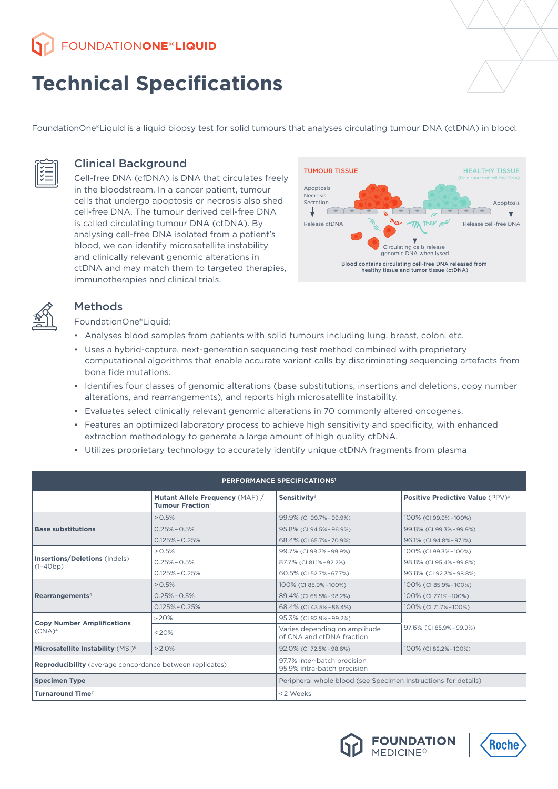**FOUNDATIONONE®LIQUID** 

# **Technical Specifications**

FoundationOne®Liquid is a liquid biopsy test for solid tumours that analyses circulating tumour DNA (ctDNA) in blood.



## Clinical Background

Cell-free DNA (cfDNA) is DNA that circulates freely in the bloodstream. In a cancer patient, tumour cells that undergo apoptosis or necrosis also shed cell-free DNA. The tumour derived cell-free DNA is called circulating tumour DNA (ctDNA). By analysing cell-free DNA isolated from a patient's blood, we can identify microsatellite instability and clinically relevant genomic alterations in ctDNA and may match them to targeted therapies, immunotherapies and clinical trials.





# Methods

FoundationOne®Liquid:

- Analyses blood samples from patients with solid tumours including lung, breast, colon, etc.
- Uses a hybrid-capture, next-generation sequencing test method combined with proprietary computational algorithms that enable accurate variant calls by discriminating sequencing artefacts from bona fide mutations.
- Identifies four classes of genomic alterations (base substitutions, insertions and deletions, copy number alterations, and rearrangements), and reports high microsatellite instability.
- Evaluates select clinically relevant genomic alterations in 70 commonly altered oncogenes.
- Features an optimized laboratory process to achieve high sensitivity and specificity, with enhanced extraction methodology to generate a large amount of high quality ctDNA.
- Utilizes proprietary technology to accurately identify unique ctDNA fragments from plasma

| <b>PERFORMANCE SPECIFICATIONS'</b>                              |                                                                        |                                                                |                                                    |  |  |  |  |  |  |
|-----------------------------------------------------------------|------------------------------------------------------------------------|----------------------------------------------------------------|----------------------------------------------------|--|--|--|--|--|--|
|                                                                 | Mutant Allele Frequency (MAF) /<br><b>Tumour Fraction</b> <sup>2</sup> | Sensitivity $3$                                                | <b>Positive Predictive Value (PPV)<sup>3</sup></b> |  |  |  |  |  |  |
| <b>Base substitutions</b>                                       | > 0.5%                                                                 | 99.9% (CI 99.7%-99.9%)                                         | 100% (CI 99.9%-100%)                               |  |  |  |  |  |  |
|                                                                 | $0.25\% - 0.5\%$                                                       | 95.8% (CI 94.5% - 96.9%)                                       | 99.8% (CI 99.3% - 99.9%)                           |  |  |  |  |  |  |
|                                                                 | $0.125\% - 0.25\%$                                                     | 68.4% (CI 65.7% - 70.9%)                                       | 96.1% (CI 94.8% - 97.1%)                           |  |  |  |  |  |  |
| Insertions/Deletions (Indels)<br>$(1-40bp)$                     | > 0.5%                                                                 | 99.7% (CI 98.7%-99.9%)                                         | 100% (CI 99.3%-100%)                               |  |  |  |  |  |  |
|                                                                 | $0.25\% - 0.5\%$                                                       | 87.7% (CI 81.1% - 92.2%)                                       | 98.8% (CI 95.4%-99.8%)                             |  |  |  |  |  |  |
|                                                                 | $0.125\% - 0.25\%$                                                     | 60.5% (CI 52.7%-67.7%)                                         | 96.8% (CI 92.3%-98.8%)                             |  |  |  |  |  |  |
| Rearrangements <sup>4</sup>                                     | > 0.5%                                                                 | 100% (CI 85.9%-100%)                                           | 100% (CI 85.9%-100%)                               |  |  |  |  |  |  |
|                                                                 | $0.25\% - 0.5\%$                                                       | 89.4% (CI 65.5% - 98.2%)                                       | 100% (CI 77.1%-100%)                               |  |  |  |  |  |  |
|                                                                 | $0.125\% - 0.25\%$                                                     | 68.4% (CI 43.5% - 86.4%)                                       | 100% (CI 71.7%-100%)                               |  |  |  |  |  |  |
| <b>Copy Number Amplifications</b><br>$(CNA)^4$                  | $\geq$ 20%                                                             | 95.3% (CI 82.9% - 99.2%)                                       |                                                    |  |  |  |  |  |  |
|                                                                 | < 20%                                                                  | Varies depending on amplitude<br>of CNA and ctDNA fraction     | 97.6% (CI 85.9%-99.9%)                             |  |  |  |  |  |  |
| Microsatellite Instability (MSI) <sup>6</sup>                   | $>2.0\%$                                                               | 92.0% (CI 72.5% - 98.6%)                                       | 100% (CI 82.2%-100%)                               |  |  |  |  |  |  |
| <b>Reproducibility</b> (average concordance between replicates) |                                                                        | 97.7% inter-batch precision<br>95.9% intra-batch precision     |                                                    |  |  |  |  |  |  |
| <b>Specimen Type</b>                                            |                                                                        | Peripheral whole blood (see Specimen Instructions for details) |                                                    |  |  |  |  |  |  |
| <b>Turnaround Time<sup>7</sup></b>                              |                                                                        | <2 Weeks                                                       |                                                    |  |  |  |  |  |  |